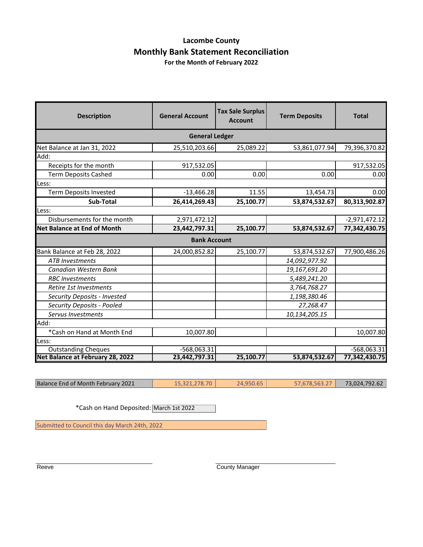#### **Lacombe County Monthly Bank Statement Reconciliation For the Month of February 2022**

| <b>Description</b>                 | <b>General Account</b> | <b>Tax Sale Surplus</b><br><b>Account</b> | <b>Term Deposits</b> | <b>Total</b>    |  |  |
|------------------------------------|------------------------|-------------------------------------------|----------------------|-----------------|--|--|
| <b>General Ledger</b>              |                        |                                           |                      |                 |  |  |
| Net Balance at Jan 31, 2022        | 25,510,203.66          | 25,089.22                                 | 53,861,077.94        | 79,396,370.82   |  |  |
| Add:                               |                        |                                           |                      |                 |  |  |
| Receipts for the month             | 917,532.05             |                                           |                      | 917,532.05      |  |  |
| <b>Term Deposits Cashed</b>        | 0.00                   | 0.00                                      | 0.00                 | 0.00            |  |  |
| Less:                              |                        |                                           |                      |                 |  |  |
| <b>Term Deposits Invested</b>      | $-13,466.28$           | 11.55                                     | 13,454.73            | 0.00            |  |  |
| Sub-Total                          | 26,414,269.43          | 25,100.77                                 | 53,874,532.67        | 80,313,902.87   |  |  |
| Less:                              |                        |                                           |                      |                 |  |  |
| Disbursements for the month        | 2,971,472.12           |                                           |                      | $-2,971,472.12$ |  |  |
| <b>Net Balance at End of Month</b> | 23,442,797.31          | 25,100.77                                 | 53,874,532.67        | 77,342,430.75   |  |  |
|                                    | <b>Bank Account</b>    |                                           |                      |                 |  |  |
| Bank Balance at Feb 28, 2022       | 24,000,852.82          | 25,100.77                                 | 53,874,532.67        | 77,900,486.26   |  |  |
| <b>ATB</b> Investments             |                        |                                           | 14,092,977.92        |                 |  |  |
| Canadian Western Bank              |                        |                                           | 19,167,691.20        |                 |  |  |
| <b>RBC</b> Investments             |                        |                                           | 5,489,241.20         |                 |  |  |
| Retire 1st Investments             |                        |                                           | 3,764,768.27         |                 |  |  |
| Security Deposits - Invested       |                        |                                           | 1,198,380.46         |                 |  |  |
| Security Deposits - Pooled         |                        |                                           | 27,268.47            |                 |  |  |
| Servus Investments                 |                        |                                           | 10,134,205.15        |                 |  |  |
| Add:                               |                        |                                           |                      |                 |  |  |
| *Cash on Hand at Month End         | 10,007.80              |                                           |                      | 10,007.80       |  |  |
| Less:                              |                        |                                           |                      |                 |  |  |
| Outstanding Cheques                | -568,063.31            |                                           |                      | $-568,063.31$   |  |  |
| Net Balance at February 28, 2022   | 23,442,797.31          | 25,100.77                                 | 53,874,532.67        | 77,342,430.75   |  |  |

Balance End of Month February 2021 15,321,278.70 24,950.65 57,678,563.27 73,024,792.62

\*Cash on Hand Deposited: March 1st 2022

Submitted to Council this day March 24th, 2022

Reeve **County Manager** County Manager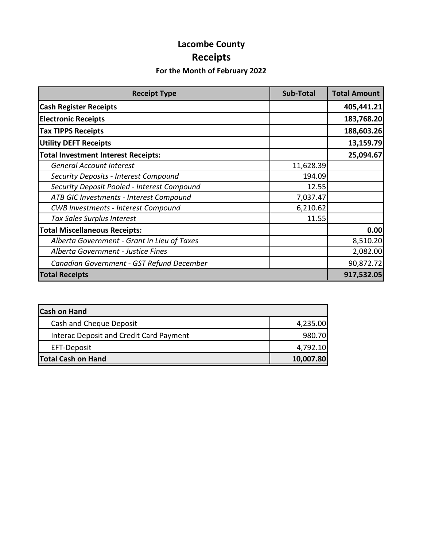# **Lacombe County Receipts**

### **For the Month of February 2022**

| <b>Receipt Type</b>                         | <b>Sub-Total</b> | <b>Total Amount</b> |
|---------------------------------------------|------------------|---------------------|
| <b>Cash Register Receipts</b>               |                  | 405,441.21          |
| <b>Electronic Receipts</b>                  |                  | 183,768.20          |
| <b>Tax TIPPS Receipts</b>                   |                  | 188,603.26          |
| <b>Utility DEFT Receipts</b>                |                  | 13,159.79           |
| <b>Total Investment Interest Receipts:</b>  |                  | 25,094.67           |
| <b>General Account Interest</b>             | 11,628.39        |                     |
| Security Deposits - Interest Compound       | 194.09           |                     |
| Security Deposit Pooled - Interest Compound | 12.55            |                     |
| ATB GIC Investments - Interest Compound     | 7,037.47         |                     |
| <b>CWB Investments - Interest Compound</b>  | 6,210.62         |                     |
| Tax Sales Surplus Interest                  | 11.55            |                     |
| <b>Total Miscellaneous Receipts:</b>        |                  | 0.00                |
| Alberta Government - Grant in Lieu of Taxes |                  | 8,510.20            |
| Alberta Government - Justice Fines          |                  | 2,082.00            |
| Canadian Government - GST Refund December   |                  | 90,872.72           |
| <b>Total Receipts</b>                       |                  | 917,532.05          |

| <b>Cash on Hand</b>                     |           |
|-----------------------------------------|-----------|
| Cash and Cheque Deposit                 | 4,235.00  |
| Interac Deposit and Credit Card Payment | 980.70    |
| EFT-Deposit                             | 4,792.10  |
| <b>Total Cash on Hand</b>               | 10,007.80 |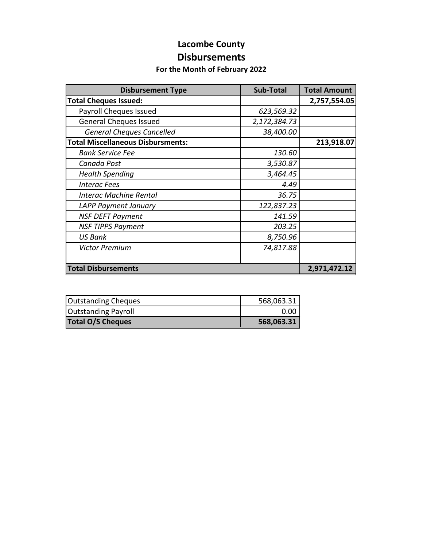### **Lacombe County Disbursements**

#### **For the Month of February 2022**

| <b>Disbursement Type</b>                 | <b>Sub-Total</b> | <b>Total Amount</b> |
|------------------------------------------|------------------|---------------------|
| <b>Total Cheques Issued:</b>             |                  | 2,757,554.05        |
| Payroll Cheques Issued                   | 623,569.32       |                     |
| <b>General Cheques Issued</b>            | 2,172,384.73     |                     |
| <b>General Cheques Cancelled</b>         | 38,400.00        |                     |
| <b>Total Miscellaneous Disbursments:</b> |                  | 213,918.07          |
| <b>Bank Service Fee</b>                  | 130.60           |                     |
| Canada Post                              | 3,530.87         |                     |
| <b>Health Spending</b>                   | 3,464.45         |                     |
| <b>Interac Fees</b>                      | 4.49             |                     |
| <b>Interac Machine Rental</b>            | 36.75            |                     |
| LAPP Payment January                     | 122,837.23       |                     |
| <b>NSF DEFT Payment</b>                  | 141.59           |                     |
| <b>NSF TIPPS Payment</b>                 | 203.25           |                     |
| <b>US Bank</b>                           | 8,750.96         |                     |
| <b>Victor Premium</b>                    | 74,817.88        |                     |
|                                          |                  |                     |
| <b>Total Disbursements</b>               |                  | 2,971,472.12        |

| <b>Outstanding Cheques</b> | 568,063.31 |
|----------------------------|------------|
| <b>Outstanding Payroll</b> | 0.00       |
| <b>Total O/S Cheques</b>   | 568,063.31 |